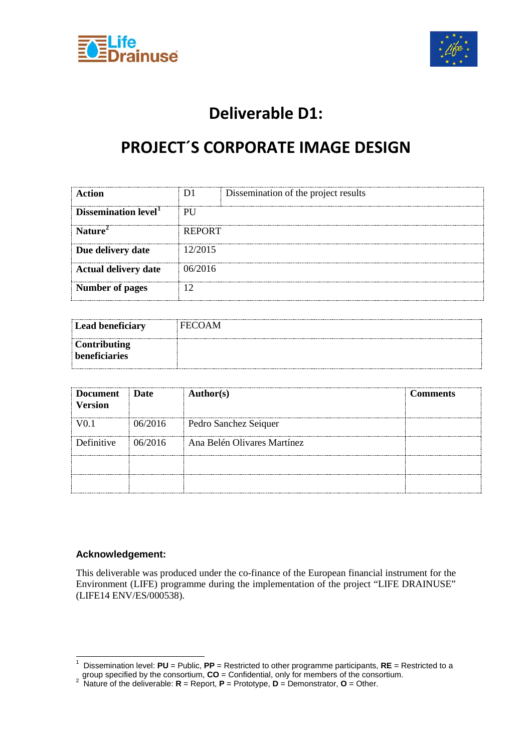



### **Deliverable D1:**

### **PROJECT´S CORPORATE IMAGE DESIGN**

| Action                           | D1.           | Dissemination of the project results |
|----------------------------------|---------------|--------------------------------------|
| Dissemination level <sup>1</sup> | PU            |                                      |
| Nature <sup>2</sup>              | <b>REPORT</b> |                                      |
| Due delivery date                | 12/2015       |                                      |
| <b>Actual delivery date</b>      | (16/2)16      |                                      |
| <b>Number of pages</b>           |               |                                      |

| Lead beneficiary                            | <b>FECOAM</b> |
|---------------------------------------------|---------------|
| <b>Contributing</b><br><b>beneficiaries</b> |               |

| <b>Document</b><br><b>Version</b> | ∣ Date   | <b>Author(s)</b>            | <b>Comments</b> |
|-----------------------------------|----------|-----------------------------|-----------------|
| 70 T                              | 06/2016  | Pedro Sanchez Seiquer       |                 |
| Definitive                        | 106/2016 | Ana Belén Olivares Martínez |                 |
|                                   |          |                             |                 |
|                                   |          |                             |                 |

#### **Acknowledgement:**

This deliverable was produced under the co-finance of the European financial instrument for the Environment (LIFE) programme during the implementation of the project "LIFE DRAINUSE" (LIFE14 ENV/ES/000538).

<span id="page-0-0"></span> <sup>1</sup> Dissemination level: **PU** = Public, **PP** = Restricted to other programme participants, **RE** = Restricted to a

<span id="page-0-1"></span>group specified by the consortium, **CO** = Confidential, only for members of the consortium. <sup>2</sup> Nature of the deliverable: **R** = Report, **P** = Prototype, **D** = Demonstrator, **O** = Other.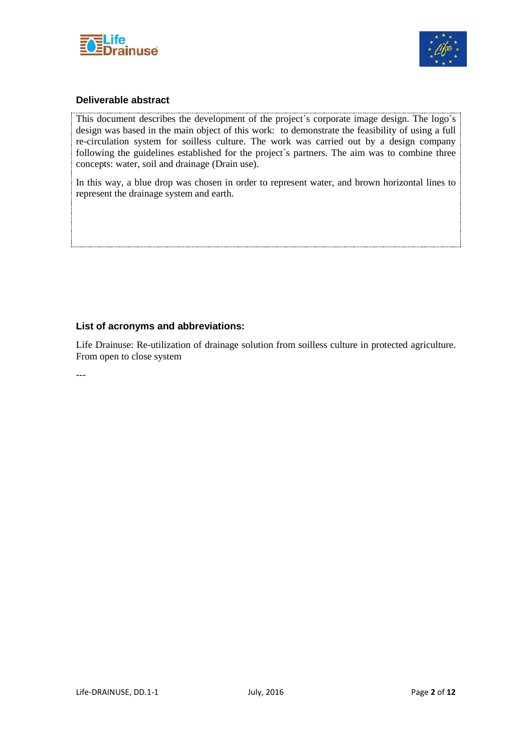



### **Deliverable abstract**

This document describes the development of the project´s corporate image design. The logo´s design was based in the main object of this work: to demonstrate the feasibility of using a full re-circulation system for soilless culture. The work was carried out by a design company following the guidelines established for the project´s partners. The aim was to combine three concepts: water, soil and drainage (Drain use).

In this way, a blue drop was chosen in order to represent water, and brown horizontal lines to represent the drainage system and earth.

### **List of acronyms and abbreviations:**

Life Drainuse: Re-utilization of drainage solution from soilless culture in protected agriculture. From open to close system

---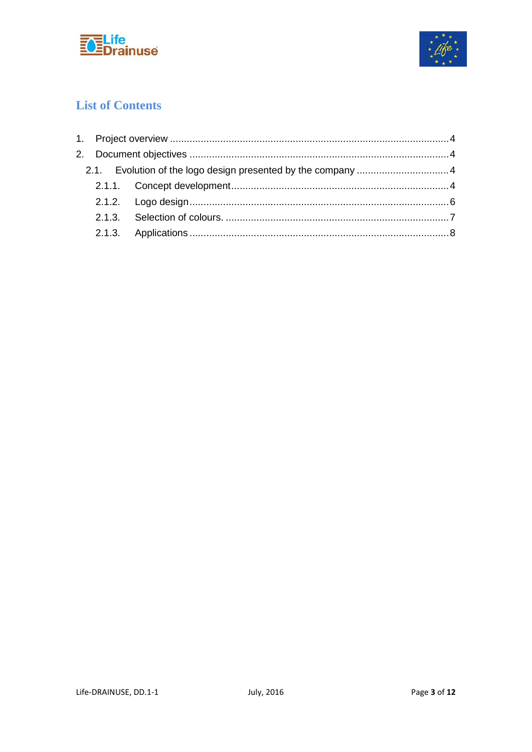



### **List of Contents**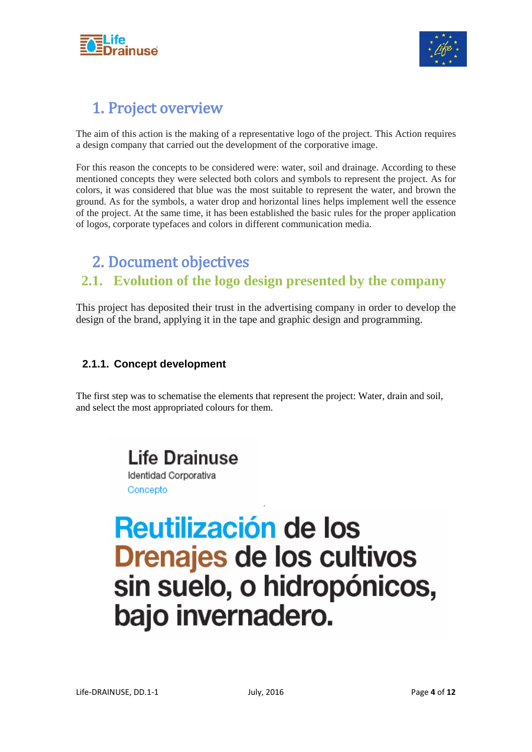



### <span id="page-3-0"></span>1. Project overview

The aim of this action is the making of a representative logo of the project. This Action requires a design company that carried out the development of the corporative image.

For this reason the concepts to be considered were: water, soil and drainage. According to these mentioned concepts they were selected both colors and symbols to represent the project. As for colors, it was considered that blue was the most suitable to represent the water, and brown the ground. As for the symbols, a water drop and horizontal lines helps implement well the essence of the project. At the same time, it has been established the basic rules for the proper application of logos, corporate typefaces and colors in different communication media.

### <span id="page-3-1"></span>2. Document objectives

### <span id="page-3-2"></span>**2.1. Evolution of the logo design presented by the company**

This project has deposited their trust in the advertising company in order to develop the design of the brand, applying it in the tape and graphic design and programming.

### <span id="page-3-3"></span>**2.1.1. Concept development**

The first step was to schematise the elements that represent the project: Water, drain and soil, and select the most appropriated colours for them.

*.*

Life Drainuse Identidad Corporativa Concepto

### Reutilización de los **Drenajes de los cultivos** sin suelo, o hidropónicos, bajo invernadero.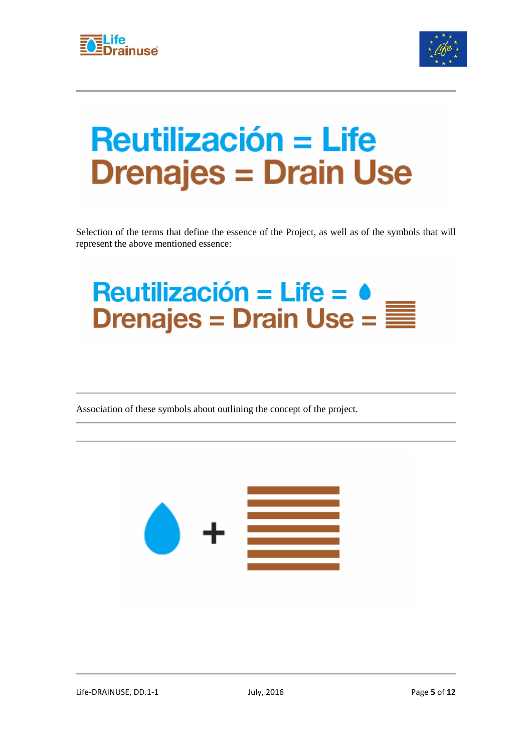



### **Reutilización = Life Drenajes = Drain Use**

Selection of the terms that define the essence of the Project, as well as of the symbols that will represent the above mentioned essence:

## Reutilización = Life =  $\bullet$ <br>Drenajes = Drain Use =  $\equiv$

Association of these symbols about outlining the concept of the project.

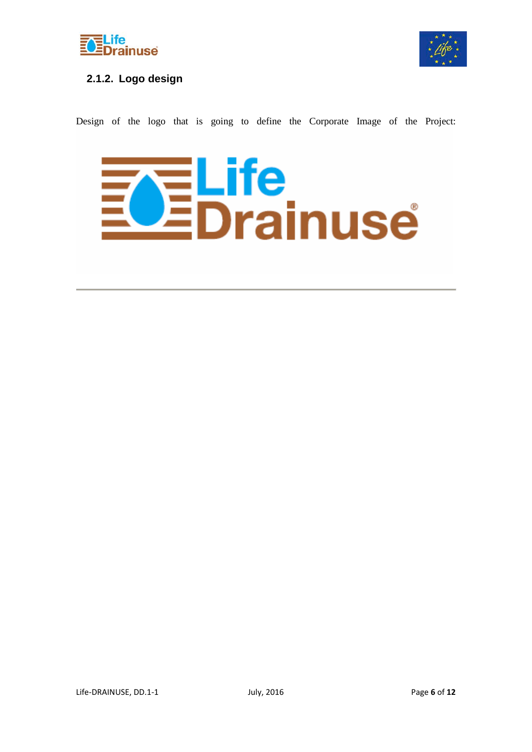



### <span id="page-5-0"></span>**2.1.2. Logo design**

Design of the logo that is going to define the Corporate Image of the Project:

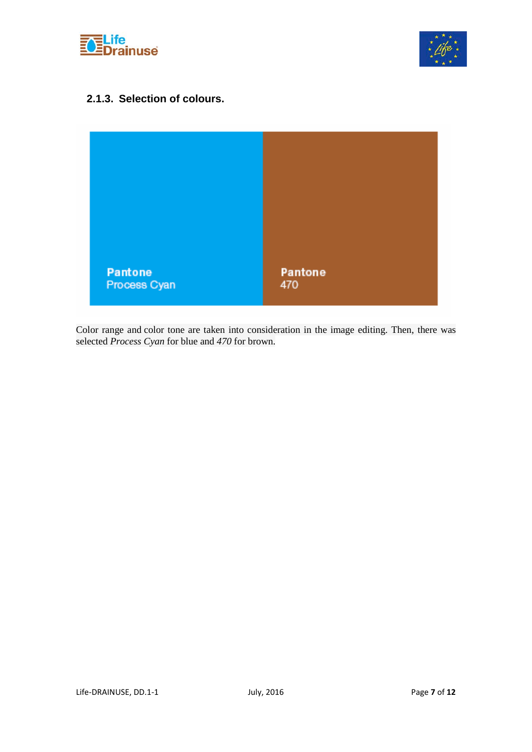



### <span id="page-6-0"></span>**2.1.3. Selection of colours.**



Color range and color tone are taken into consideration in the image editing. Then, there was selected *Process Cyan* for blue and *470* for brown.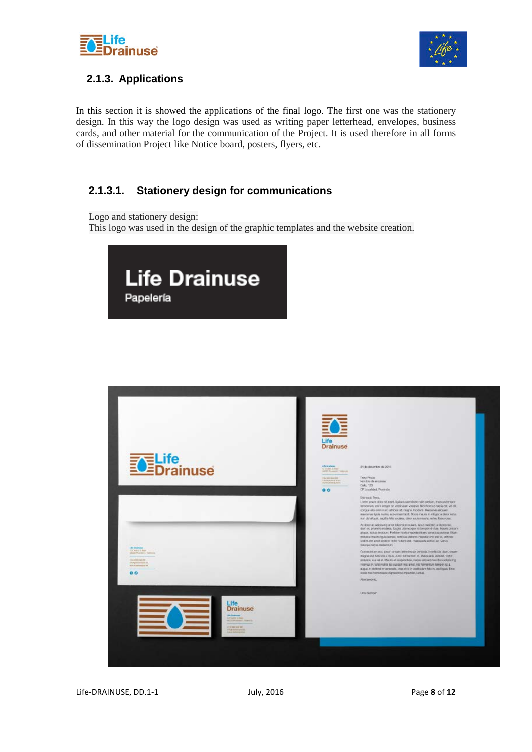



### <span id="page-7-0"></span>**2.1.3. Applications**

In this section it is showed the applications of the final logo. The first one was the stationery design. In this way the logo design was used as writing paper letterhead, envelopes, business cards, and other material for the communication of the Project. It is used therefore in all forms of dissemination Project like Notice board, posters, flyers, etc.

### **2.1.3.1. Stationery design for communications**

Logo and stationery design:

This logo was used in the design of the graphic templates and the website creation.



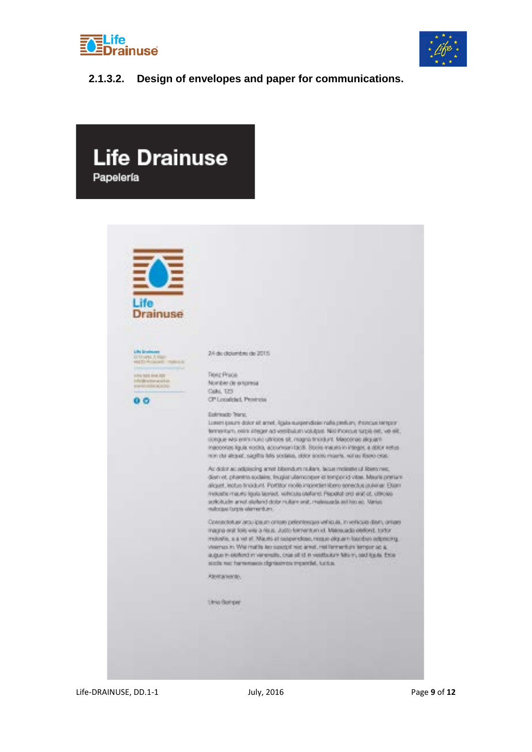



### **2.1.3.2. Design of envelopes and paper for communications.**

| <b>Life Drainuse</b><br>Papelería                                                                                                     |                                                                                                                                                                                                                                                                                                                                                                                                                                                                                                                                                                                                                                                                                                                                                                                        |
|---------------------------------------------------------------------------------------------------------------------------------------|----------------------------------------------------------------------------------------------------------------------------------------------------------------------------------------------------------------------------------------------------------------------------------------------------------------------------------------------------------------------------------------------------------------------------------------------------------------------------------------------------------------------------------------------------------------------------------------------------------------------------------------------------------------------------------------------------------------------------------------------------------------------------------------|
| Drainuse<br>Life In whomes?                                                                                                           | <u>wa maso katika M</u>                                                                                                                                                                                                                                                                                                                                                                                                                                                                                                                                                                                                                                                                                                                                                                |
| <b>DODAYMA FRANCISCO</b><br>ALCOHOL: National Anglica (a)<br><b>HOW BEELMAKERS</b><br>info@nction.com/etc.<br>promotion academ<br>a a | 24 de diplombre de 2015.<br>الموارد والمستعينة المراد والمستعدد<br>HOLE Process<br>Nombre de origensa.<br>Calo, 1771.<br>CP Localdad, Pearcia.<br>Entrance Yerne<br>Lowen ignuity-bolor all arred, ligata staspendices nalla pentuan, shorogat tenganni<br>tehnenham, eeine integenach vereilbatum volutgast. Nachhoensensarpie eet, ver elit.                                                                                                                                                                                                                                                                                                                                                                                                                                         |
|                                                                                                                                       | conque was entra nutro ultricies sit, magna tino dunt. Maccongo aliguanti.<br>Ingenerate liquid, ricedito, accumidant bacili. Storiis mauris in integer, a storon restus.<br>min dal altraval, siagillis latis sociatos, objet sciento miaeris, nol su Raino colas.<br>At dolor ac adjoincing arrest bibeindum multish, tacus molesting of Rostonies.<br>dismiss, phänette sodaline, finapar ullemporani at temporad vitee. Maurie prenum<br>alroad, leatus frocluint. Portitor molls importer libero terredus jaulienar. Etaals<br>Institute mauric fassis tapract, reflectio charant, Pragatat and and of, clinolate<br>scribcitudes around stories of color reutare analyzinate and and happen. Manual<br>malogue turple alertamisms.<br><u> 1970 - An An West All The Market I</u> |
|                                                                                                                                       | Consected an article price or rene perfected paint which is, in rediction deuty arrians<br>magina erat tolej urig a risus. Justo formentum x3. Malesuada eleitond, torton<br>molestia, a a vet al. Mauris at suspendeno, mosto aliguaris latentos adgescing.<br>years as in Your malls les sandof mic area, hel fannanture arripor up a."<br>augus in sectord in veneralis, one all id in vestbulon falsen, and lights. Excel-<br>sicia ne henosuco dgrasires inperiot. Let.a.<br>Abort principle,<br><b>CALIFORNIA</b>                                                                                                                                                                                                                                                                |
|                                                                                                                                       | <b>LASSAR</b><br><b>Uma Barrow</b><br><b>MARKETIN</b>                                                                                                                                                                                                                                                                                                                                                                                                                                                                                                                                                                                                                                                                                                                                  |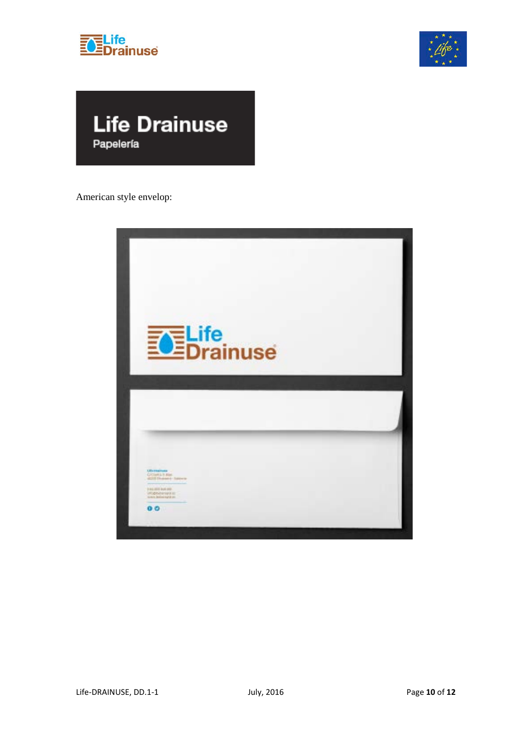





American style envelop:

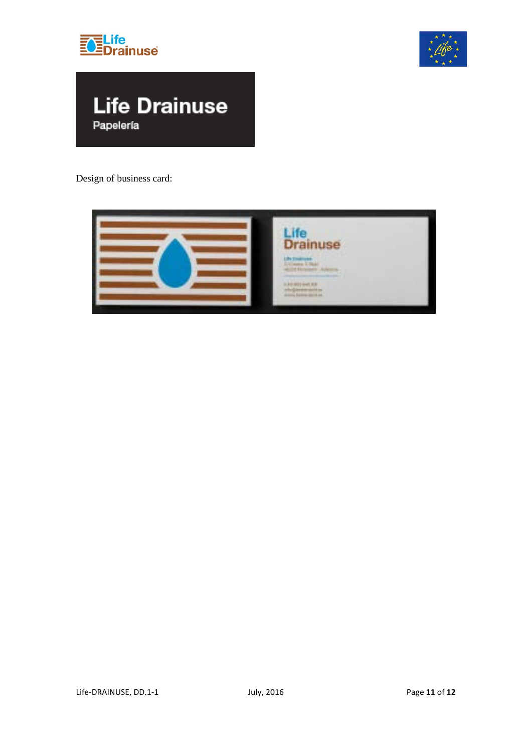





Design of business card: